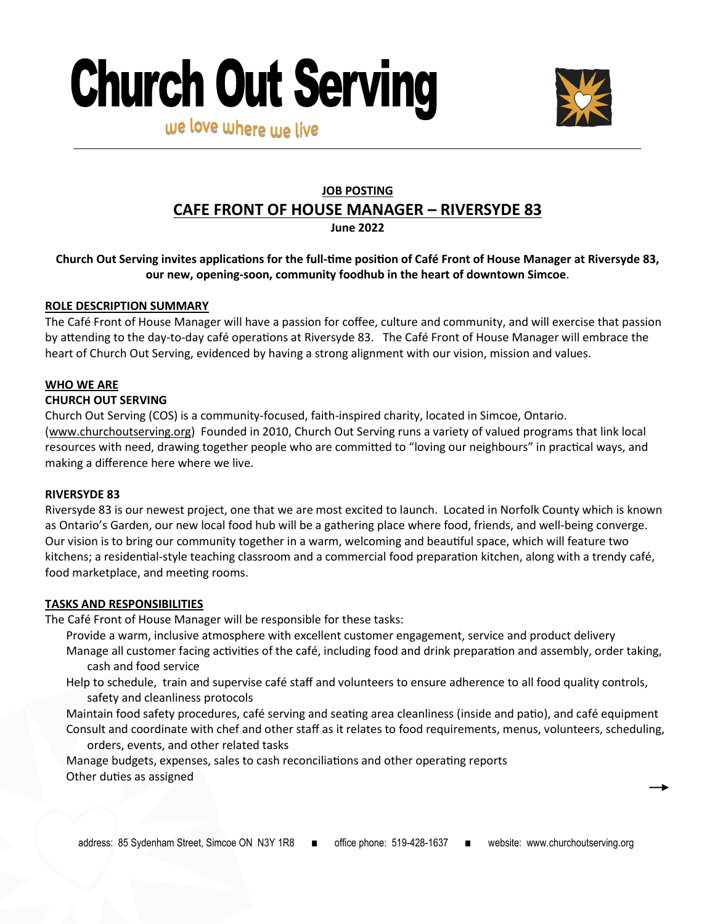# **Church Out Serving** we love where use live



## **JOB POSTING**

### **CAFE FRONT OF HOUSE MANAGER – RIVERSYDE 83**

**June 2022**

#### **Church Out Serving invites applications for the full-time position of Café Front of House Manager at Riversyde 83, our new, opening-soon, community foodhub in the heart of downtown Simcoe**.

#### **ROLE DESCRIPTION SUMMARY**

The Café Front of House Manager will have a passion for coffee, culture and community, and will exercise that passion by attending to the day-to-day café operations at Riversyde 83. The Café Front of House Manager will embrace the heart of Church Out Serving, evidenced by having a strong alignment with our vision, mission and values.

#### **WHO WE ARE**

#### **CHURCH OUT SERVING**

Church Out Serving (COS) is a community-focused, faith-inspired charity, located in Simcoe, Ontario. ([www.churchoutserving.org\)](http://www.churchoutserving.org) Founded in 2010, Church Out Serving runs a variety of valued programs that link local resources with need, drawing together people who are committed to "loving our neighbours" in practical ways, and making a difference here where we live.

#### **RIVERSYDE 83**

Riversyde 83 is our newest project, one that we are most excited to launch. Located in Norfolk County which is known as Ontario's Garden, our new local food hub will be a gathering place where food, friends, and well-being converge. Our vision is to bring our community together in a warm, welcoming and beautiful space, which will feature two kitchens; a residential-style teaching classroom and a commercial food preparation kitchen, along with a trendy café, food marketplace, and meeting rooms.

#### **TASKS AND RESPONSIBILITIES**

The Café Front of House Manager will be responsible for these tasks:

- Provide a warm, inclusive atmosphere with excellent customer engagement, service and product delivery
- Manage all customer facing activities of the café, including food and drink preparation and assembly, order taking, cash and food service
- Help to schedule, train and supervise café staff and volunteers to ensure adherence to all food quality controls, safety and cleanliness protocols
- Maintain food safety procedures, café serving and seating area cleanliness (inside and patio), and café equipment Consult and coordinate with chef and other staff as it relates to food requirements, menus, volunteers, scheduling, orders, events, and other related tasks

Manage budgets, expenses, sales to cash reconciliations and other operating reports Other duties as assigned